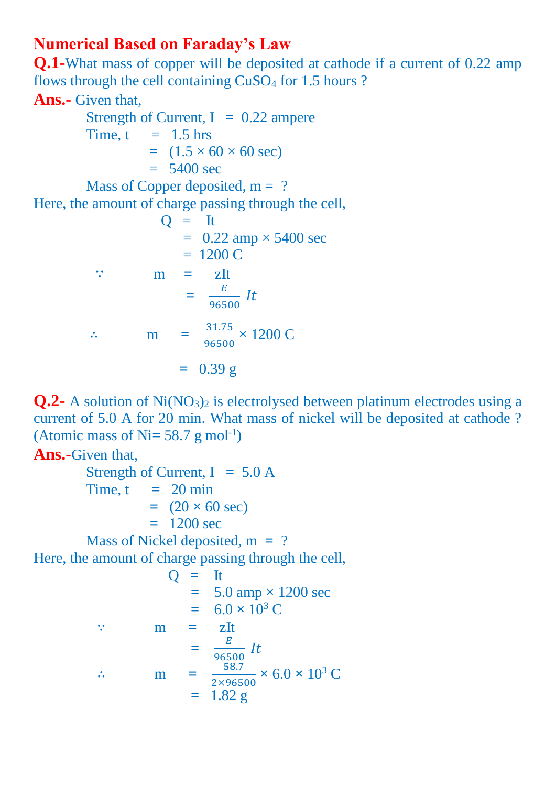## **Numerical Based on Faraday's Law**

**Q.1-**What mass of copper will be deposited at cathode if a current of 0.22 amp flows through the cell containing CuSO<sup>4</sup> for 1.5 hours ?

## **Ans.-** Given that,

Strength of Current,  $I = 0.22$  ampere Time,  $t = 1.5$  hrs  $=(1.5 \times 60 \times 60 \text{ sec})$  $= 5400$  sec Mass of Copper deposited,  $m = ?$ Here, the amount of charge passing through the cell,  $O = It$  $= 0.22$  amp  $\times 5400$  sec  $= 1200 C$ ∵ m **=** zIt  $=\frac{E}{\sqrt{2\pi}}$  $\frac{E}{96500}$  It ∴ m =  $\frac{31.75}{0.0500}$  $\frac{31.75}{96500} \times 1200$  C

$$
= 0.39 \text{ g}
$$

**Q.2-** A solution of Ni(NO<sub>3</sub>)<sub>2</sub> is electrolysed between platinum electrodes using a current of 5.0 A for 20 min. What mass of nickel will be deposited at cathode ? (Atomic mass of  $Ni = 58.7$  g mol<sup>-1</sup>)

## **Ans.-**Given that,

 Strength of Current, I **=** 5.0 A Time,  $t = 20$  min  $= (20 \times 60 \text{ sec})$  **=** 1200 sec Mass of Nickel deposited, m **=** ?

Here, the amount of charge passing through the cell,

$$
Q = It
$$
  
\n
$$
= 5.0 \text{ amp} \times 1200 \text{ sec}
$$
  
\n
$$
= 6.0 \times 10^{3} \text{ C}
$$
  
\n
$$
\therefore \qquad m = zIt
$$
  
\n
$$
= \frac{E}{96500} It
$$
  
\n
$$
\therefore \qquad m = \frac{58.7}{2 \times 96500} \times 6.0 \times 10^{3} \text{ C}
$$
  
\n
$$
= 1.82 \text{ g}
$$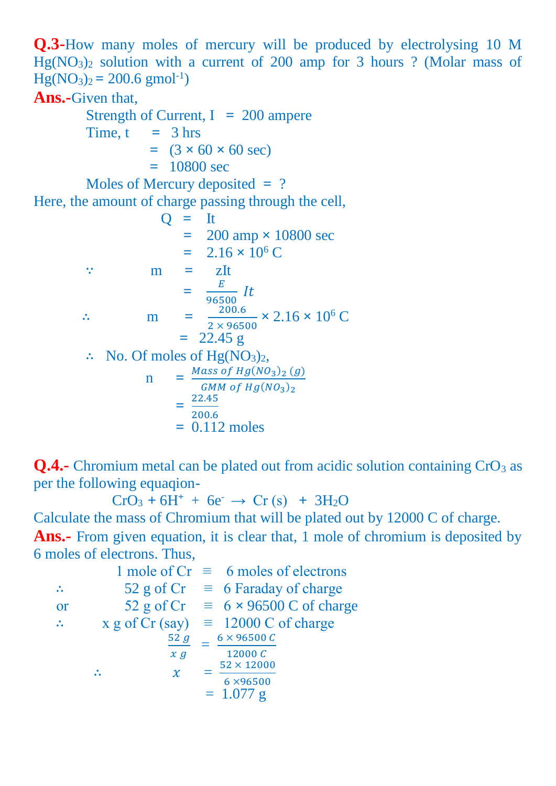**Q.3-**How many moles of mercury will be produced by electrolysing 10 M  $Hg(NO<sub>3</sub>)<sub>2</sub>$  solution with a current of 200 amp for 3 hours ? (Molar mass of  $Hg(NO<sub>3</sub>)<sub>2</sub> = 200.6$  gmol<sup>-1</sup>)

## **Ans.-**Given that,

 Strength of Current, I **=** 200 ampere Time,  $t = 3$  hrs  $=$   $(3 \times 60 \times 60 \text{ sec})$  **=** 10800 sec Moles of Mercury deposited **=** ? Here, the amount of charge passing through the cell,  $Q = It$  $= 200$  amp  $\times$  10800 sec  $= 2.16 \times 10^6$  C ∵ m **=** zIt **=**  $\frac{E}{\epsilon_0}$  It 96500 ∴ m **=** 200.6  $\frac{200.6}{2 \times 96500} \times 2.16 \times 10^6$  C **=** 22.45 g ∴ No. Of moles of  $Hg(NO<sub>3</sub>)<sub>2</sub>$ , n **=** Mass of  $Hg(NO<sub>3</sub>)<sub>2</sub>(g)$ <br>CMM of U<sub>2</sub>(NO<sub>2</sub>) GMM of  $Hg(NO<sub>3</sub>)<sub>2</sub>$  $=\frac{22.45}{300.6}$  $\frac{22.45}{200.6}$ **=** 0.112 moles

**Q.4.** Chromium metal can be plated out from acidic solution containing CrO<sub>3</sub> as per the following equaqion-

 $CrO_3 + 6H^+ + 6e^- \rightarrow Cr(s) + 3H_2O$ 

Calculate the mass of Chromium that will be plated out by 12000 C of charge.

**Ans.-** From given equation, it is clear that, 1 mole of chromium is deposited by 6 moles of electrons. Thus,

1 mole of  $Cr \equiv 6$  moles of electrons ∴ 52 g of Cr  $\equiv$  6 Faraday of charge or 52 g of Cr  $\equiv$  6  $\times$  96500 C of charge  $\therefore$  x g of Cr (say) = 12000 C of charge  $52g$  $x g$  $= \frac{6 \times 96500 C}{12000 G}$  $12000C$ ∴  $\ddot{x}$  = 52 × 12000 6 ×96500  $= 1.077$  g